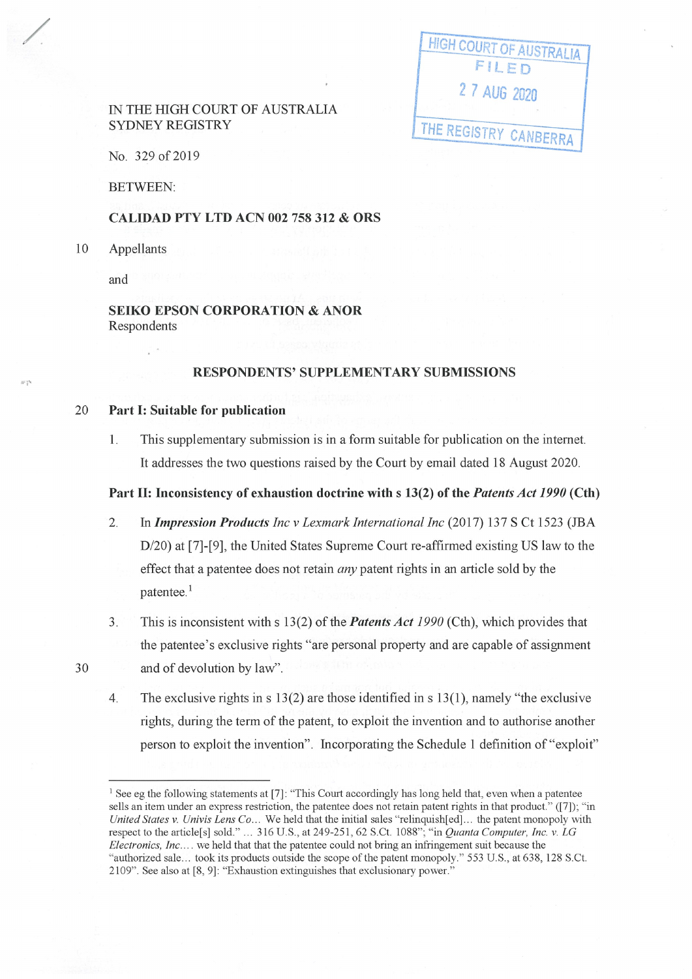## IN THE HIGH COURT OF AUSTRALIA SYDNEY REGISTRY

| <b>HIGH COURT OF AUSTRALIA</b> |
|--------------------------------|
| FILED                          |
| 2 7 AUG 2020                   |
|                                |
| THE REGISTRY CANBERRA          |

No. 329 of 2019

BETWEEN:

#### **CALIDAD PTY LTD ACN 002 758 312** & **ORS**

10 Appellants

/

 $40^{14}_{-2}$ 

and

**SEIKO EPSON CORPORATION** & **ANOR**  Respondents

## **RESPONDENTS' SUPPLEMENTARY SUBMISSIONS**

#### 20 **Part** I: **Suitable for publication**

1. This supplementary submission is in a form suitable for publication on the internet. It addresses the two questions raised by the Court by email dated 18 August 2020.

## **Part** II: **Inconsistency of exhaustion doctrine with s 13(2) of the** *Patents Act 1990* **(Cth)**

- 2. In *Impression Products Inc v Lexmark International Inc* (2017) 137 S Ct 1523 (IBA D/20) at [7]-[9], the United States Supreme Court re-affirmed existing US law to the effect that a patentee does not retain *any* patent rights in an article sold by the patentee.<sup>1</sup>
- 3. This is inconsistent with s 13(2) of the *Patents Act 1990* (Cth), which provides that the patentee's exclusive rights "are personal property and are capable of assignment and of devolution by law".
- 4. The exclusive rights in s  $13(2)$  are those identified in s  $13(1)$ , namely "the exclusive rights, during the term of the patent, to exploit the invention and to authorise another person to exploit the invention". Incorporating the Schedule 1 definition of "exploit"

30

<sup>&</sup>lt;sup>1</sup> See eg the following statements at [7]: "This Court accordingly has long held that, even when a patentee sells an item under an express restriction, the patentee does not retain patent rights in that product." ([7]); "in *United States v. Univis lens Co ...* We held that the initial sales "relinquish[ed] ... the patent monopoly with respect to the article[s] sold." ... 316 U.S., at 249-251, 62 S.Ct. 1088"; "in *Quanta Computer, Inc. v. LG Electronics, Inc ....* we held that that the patentee could not bring an infringement suit because the "authorized sale ... took its products outside the scope of the patent monopoly. " 553 U.S. , at 638, 128 S.Ct. 2109" . See also at [8, 9]: "Exhaustion extinguishes that exclusionary power."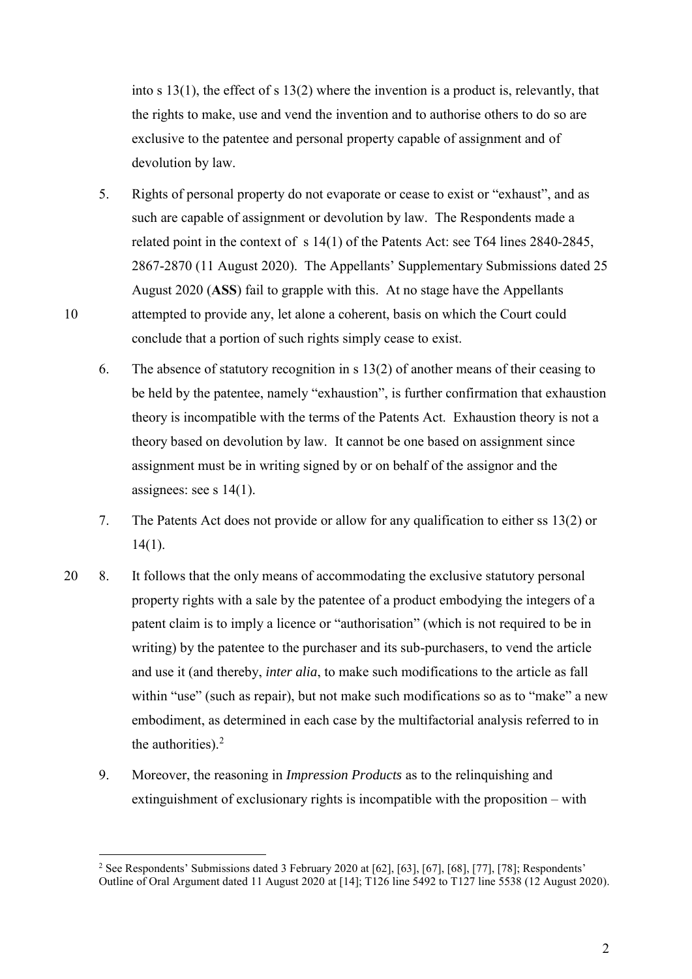into s 13(1), the effect of s 13(2) where the invention is a product is, relevantly, that the rights to make, use and vend the invention and to authorise others to do so are exclusive to the patentee and personal property capable of assignment and of devolution by law.

- 5. Rights of personal property do not evaporate or cease to exist or "exhaust", and as such are capable of assignment or devolution by law. The Respondents made a related point in the context of s 14(1) of the Patents Act: see T64 lines 2840-2845, 2867-2870 (11 August 2020). The Appellants' Supplementary Submissions dated 25 August 2020 (**ASS**) fail to grapple with this. At no stage have the Appellants 10 attempted to provide any, let alone a coherent, basis on which the Court could conclude that a portion of such rights simply cease to exist.
	- 6. The absence of statutory recognition in s 13(2) of another means of their ceasing to be held by the patentee, namely "exhaustion", is further confirmation that exhaustion theory is incompatible with the terms of the Patents Act. Exhaustion theory is not a theory based on devolution by law. It cannot be one based on assignment since assignment must be in writing signed by or on behalf of the assignor and the assignees: see s 14(1).
	- 7. The Patents Act does not provide or allow for any qualification to either ss 13(2) or 14(1).
- 20 8. It follows that the only means of accommodating the exclusive statutory personal property rights with a sale by the patentee of a product embodying the integers of a patent claim is to imply a licence or "authorisation" (which is not required to be in writing) by the patentee to the purchaser and its sub-purchasers, to vend the article and use it (and thereby, *inter alia*, to make such modifications to the article as fall within "use" (such as repair), but not make such modifications so as to "make" a new embodiment, as determined in each case by the multifactorial analysis referred to in the authorities). $2$ 
	- 9. Moreover, the reasoning in *Impression Products* as to the relinquishing and extinguishment of exclusionary rights is incompatible with the proposition – with

2

 2 See Respondents' Submissions dated 3 February 2020 at [62], [63], [67], [68], [77], [78]; Respondents' Outline of Oral Argument dated 11 August 2020 at [14]; T126 line 5492 to T127 line 5538 (12 August 2020).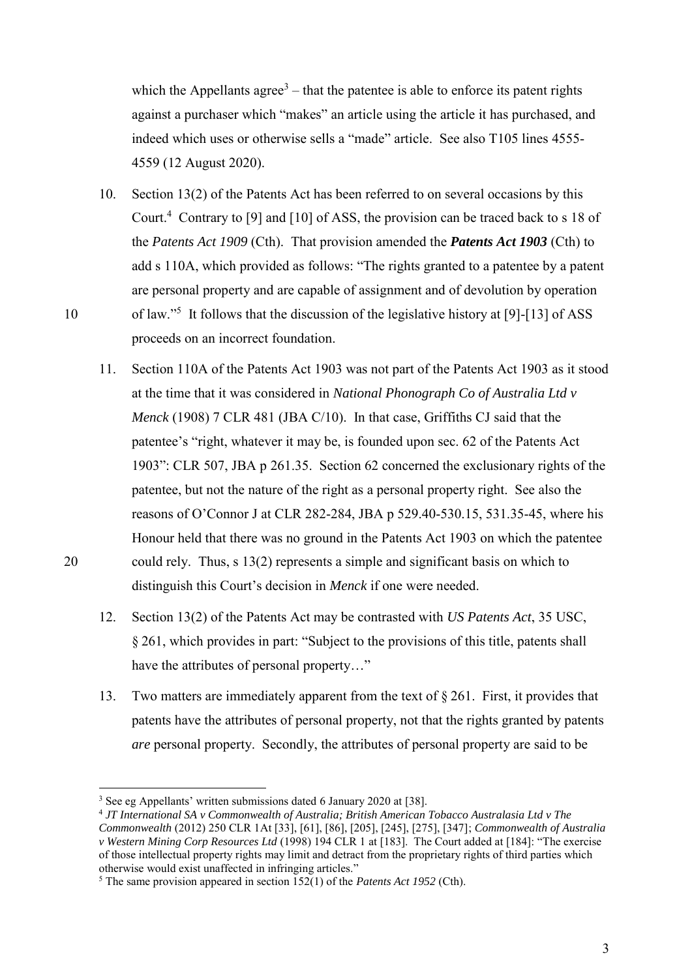which the Appellants agree<sup>3</sup> – that the patentee is able to enforce its patent rights against a purchaser which "makes" an article using the article it has purchased, and indeed which uses or otherwise sells a "made" article. See also T105 lines 4555- 4559 (12 August 2020).

- 10. Section 13(2) of the Patents Act has been referred to on several occasions by this Court.<sup>4</sup> Contrary to [9] and [10] of ASS, the provision can be traced back to s 18 of the *Patents Act 1909* (Cth). That provision amended the *Patents Act 1903* (Cth) to add s 110A, which provided as follows: "The rights granted to a patentee by a patent are personal property and are capable of assignment and of devolution by operation 10 of law."<sup>5</sup> It follows that the discussion of the legislative history at [9]-[13] of ASS proceeds on an incorrect foundation.
- 11. Section 110A of the Patents Act 1903 was not part of the Patents Act 1903 as it stood at the time that it was considered in *National Phonograph Co of Australia Ltd v Menck* (1908) 7 CLR 481 (JBA C/10). In that case, Griffiths CJ said that the patentee's "right, whatever it may be, is founded upon sec. 62 of the Patents Act 1903": CLR 507, JBA p 261.35. Section 62 concerned the exclusionary rights of the patentee, but not the nature of the right as a personal property right. See also the reasons of O'Connor J at CLR 282-284, JBA p 529.40-530.15, 531.35-45, where his Honour held that there was no ground in the Patents Act 1903 on which the patentee 20 could rely. Thus, s 13(2) represents a simple and significant basis on which to distinguish this Court's decision in *Menck* if one were needed.
	- 12. Section 13(2) of the Patents Act may be contrasted with *US Patents Act*, 35 USC, § 261, which provides in part: "Subject to the provisions of this title, patents shall have the attributes of personal property…"
	- 13. Two matters are immediately apparent from the text of § 261. First, it provides that patents have the attributes of personal property, not that the rights granted by patents *are* personal property. Secondly, the attributes of personal property are said to be

<span id="page-2-0"></span>-

<sup>3</sup> See eg Appellants' written submissions dated 6 January 2020 at [38].

<sup>4</sup> *JT International SA v Commonwealth of Australia; British American Tobacco Australasia Ltd v The Commonwealth* (2012) 250 CLR 1At [33], [61], [86], [205], [245], [275], [347]; *Commonwealth of Australia* 

*v Western Mining Corp Resources Ltd* (1998) 194 CLR 1 at [183]. The Court added at [184]: "The exercise of those intellectual property rights may limit and detract from the proprietary rights of third parties which otherwise would exist unaffected in infringing articles."

<sup>5</sup> The same provision appeared in section 152(1) of the *Patents Act 1952* (Cth).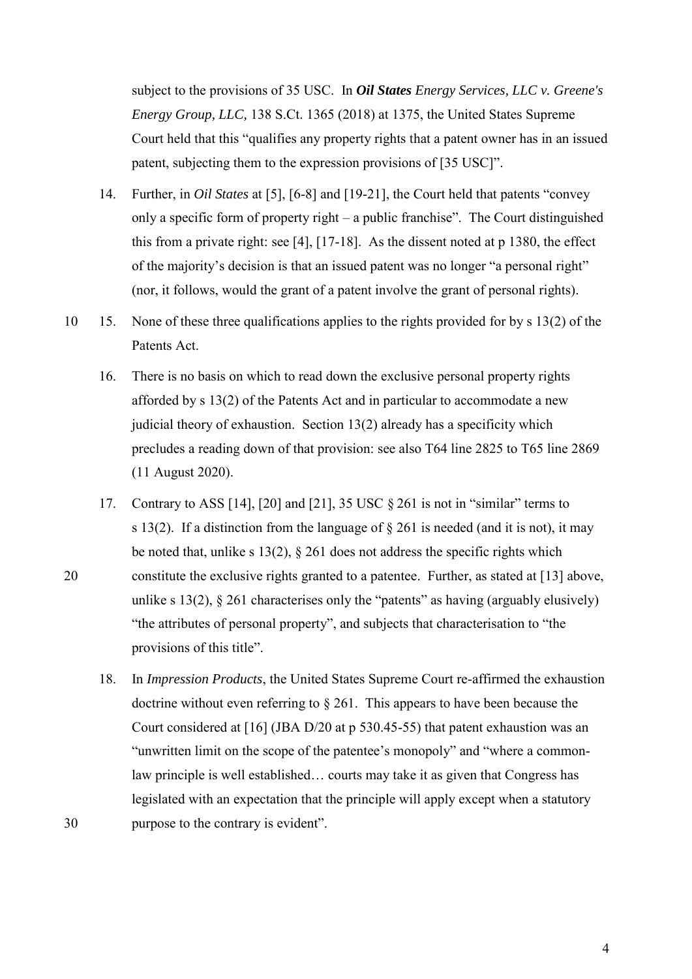subject to the provisions of 35 USC. In *Oil States Energy Services, LLC v. Greene's Energy Group, LLC,* 138 S.Ct. 1365 (2018) at 1375, the United States Supreme Court held that this "qualifies any property rights that a patent owner has in an issued patent, subjecting them to the expression provisions of [35 USC]".

- 14. Further, in *Oil States* at [5], [6-8] and [19-21], the Court held that patents "convey only a specific form of property right – a public franchise". The Court distinguished this from a private right: see [4], [17-18]. As the dissent noted at p 1380, the effect of the majority's decision is that an issued patent was no longer "a personal right" (nor, it follows, would the grant of a patent involve the grant of personal rights).
- 10 15. None of these three qualifications applies to the rights provided for by s 13(2) of the Patents Act.
	- 16. There is no basis on which to read down the exclusive personal property rights afforded by s 13(2) of the Patents Act and in particular to accommodate a new judicial theory of exhaustion. Section 13(2) already has a specificity which precludes a reading down of that provision: see also T64 line 2825 to T65 line 2869 (11 August 2020).
- 17. Contrary to ASS [14], [20] and [21], 35 USC § 261 is not in "similar" terms to s 13(2). If a distinction from the language of  $\S$  261 is needed (and it is not), it may be noted that, unlike s 13(2),  $\S$  261 does not address the specific rights which 20 constitute the exclusive rights granted to a patentee. Further, as stated at [\[13\]](#page-2-0) above, unlike s 13(2),  $\S$  261 characterises only the "patents" as having (arguably elusively) "the attributes of personal property", and subjects that characterisation to "the provisions of this title".
- 18. In *Impression Products*, the United States Supreme Court re-affirmed the exhaustion doctrine without even referring to § 261. This appears to have been because the Court considered at [16] (JBA D/20 at p 530.45-55) that patent exhaustion was an "unwritten limit on the scope of the patentee's monopoly" and "where a commonlaw principle is well established… courts may take it as given that Congress has legislated with an expectation that the principle will apply except when a statutory 30 purpose to the contrary is evident".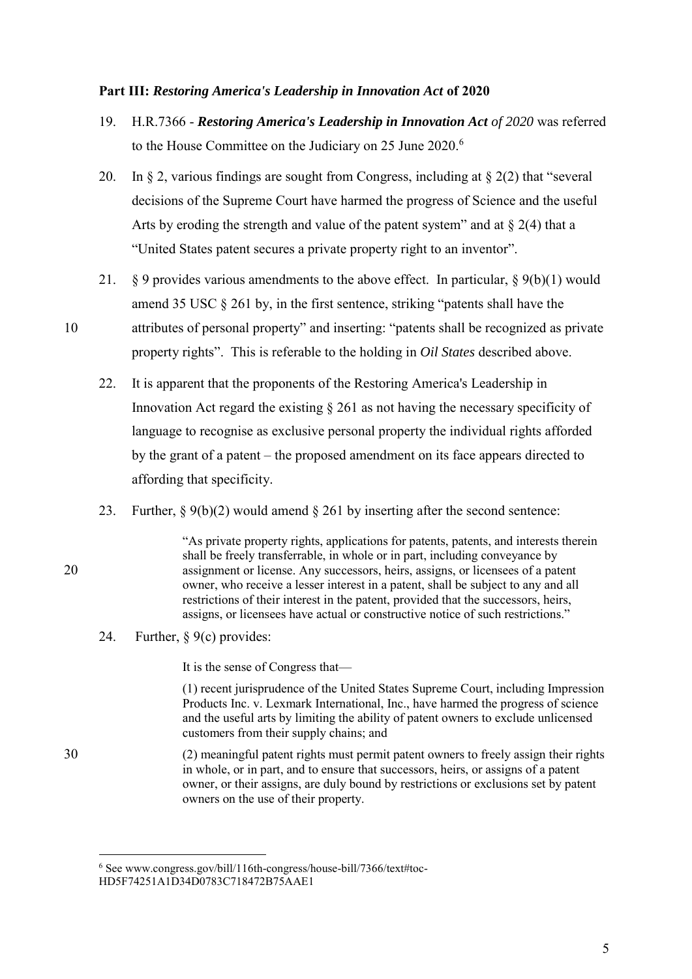#### **Part III:** *Restoring America's Leadership in Innovation Act* **of 2020**

- 19. H.R.7366 *Restoring America's Leadership in Innovation Act of 2020* was referred to the House Committee on the Judiciary on 25 June 2020.<sup>6</sup>
- 20. In  $\S$  2, various findings are sought from Congress, including at  $\S$  2(2) that "several decisions of the Supreme Court have harmed the progress of Science and the useful Arts by eroding the strength and value of the patent system" and at  $\S 2(4)$  that a "United States patent secures a private property right to an inventor".
- 21.  $\&$  9 provides various amendments to the above effect. In particular,  $\&$  9(b)(1) would amend 35 USC § 261 by, in the first sentence, striking "patents shall have the
- 10 attributes of personal property" and inserting: "patents shall be recognized as private property rights". This is referable to the holding in *Oil States* described above.
	- 22. It is apparent that the proponents of the Restoring America's Leadership in Innovation Act regard the existing  $\S 261$  as not having the necessary specificity of language to recognise as exclusive personal property the individual rights afforded by the grant of a patent – the proposed amendment on its face appears directed to affording that specificity.
	- 23. Further, § 9(b)(2) would amend § 261 by inserting after the second sentence:

"As private property rights, applications for patents, patents, and interests therein shall be freely transferrable, in whole or in part, including conveyance by 20 assignment or license. Any successors, heirs, assigns, or licensees of a patent owner, who receive a lesser interest in a patent, shall be subject to any and all restrictions of their interest in the patent, provided that the successors, heirs, assigns, or licensees have actual or constructive notice of such restrictions."

24. Further, § 9(c) provides:

It is the sense of Congress that—

(1) recent jurisprudence of the United States Supreme Court, including Impression Products Inc. v. Lexmark International, Inc., have harmed the progress of science and the useful arts by limiting the ability of patent owners to exclude unlicensed customers from their supply chains; and

30 (2) meaningful patent rights must permit patent owners to freely assign their rights in whole, or in part, and to ensure that successors, heirs, or assigns of a patent owner, or their assigns, are duly bound by restrictions or exclusions set by patent owners on the use of their property.

<sup>-</sup><sup>6</sup> See www.congress.gov/bill/116th-congress/house-bill/7366/text#toc-HD5F74251A1D34D0783C718472B75AAE1